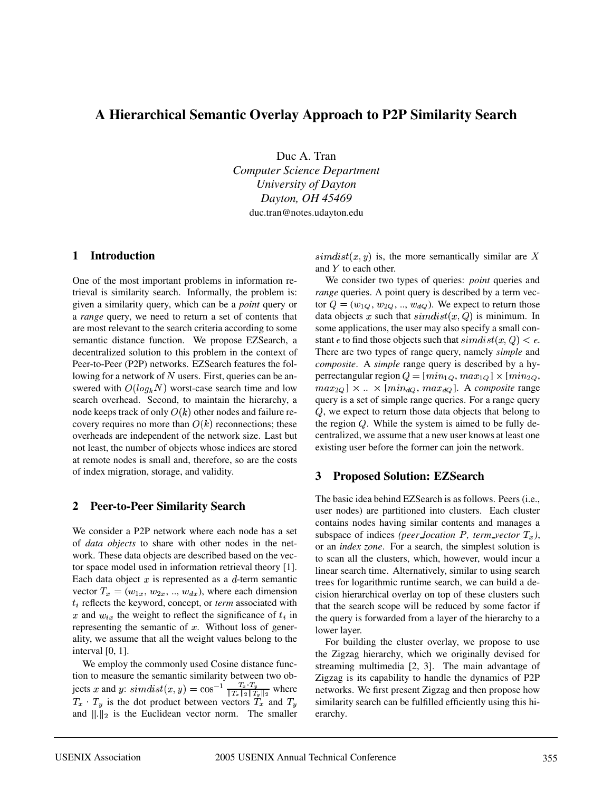# **A Hierarchical Semantic Overlay Approach to P2P Similarity Search**

Duc A. Tran *Computer Science Department University of Dayton Dayton, OH 45469* duc.tran@notes.udayton.edu

#### **1 Introduction**

One of the most important problems in information retrieval is similarity search. Informally, the problem is: given a similarity query, which can be a *point* query or a *range* query, we need to return a set of contents that are most relevant to the search criteria according to some semantic distance function. We propose EZSearch, a decentralized solution to this problem in the context of Peer-to-Peer (P2P) networks. EZSearch features the following for a network of N users. First, queries can be answered with  $O(log_k N)$  worst-case search time and low search overhead. Second, to maintain the hierarchy, a node keeps track of only  $O(k)$  other nodes and failure recovery requires no more than  $O(k)$  reconnections; these overheads are independent of the network size. Last but not least, the number of objects whose indices are stored at remote nodes is small and, therefore, so are the costs of index migration, storage, and validity.

### **2 Peer-to-Peer Similarity Search**

We consider a P2P network where each node has a set of *data objects* to share with other nodes in the network. These data objects are described based on the vector space model used in information retrieval theory [1]. Each data object  $x$  is represented as a  $d$ -term semantic vector  $T_x = (w_{1x}, w_{2x}, ..., w_{dx})$ , where each dimension  $t_i$  reflects the keyword, concept, or *term* associated with x and  $w_{ir}$  the weight to reflect the significance of  $t_i$  in representing the semantic of  $x$ . Without loss of generality, we assume that all the weight values belong to the interval [0, 1].

We employ the commonly used Cosine distance function to measure the semantic similarity between two objects x and y:  $simdist(x,y) = \cos^{-1} \frac{T_x \cdot T_y}{\|T_x\|_2 \|T_x\|_2}$  where  $T_x \cdot T_y$  is the dot product between vectors  $\tilde{T}_x$  and  $T_y$ and  $\|.\|_2$  is the Euclidean vector norm. The smaller

 $simplify(x, y)$  is, the more semantically similar are X and  $Y$  to each other.

We consider two types of queries: *point* queries and *range* queries. A point query is described by a term vector  $Q = (w_{1Q}, w_{2Q}, ..., w_{dQ})$ . We expect to return those data objects x such that  $\text{simdist}(x, Q)$  is minimum. In some applications, the user may also specify a small constant  $\epsilon$  to find those objects such that  $\text{s} \text{i} \text{m} \text{d} \text{i} \text{ } st(x, Q) < \epsilon$ . There are two types of range query, namely *simple* and *composite*. A *simple* range query is described by a hyperrectangular region  $Q = [min_{1Q}, max_{1Q}] \times [min_{2Q},$  $max_{2Q}$   $\times$  ...  $\times$  [ $min_{dQ}$ ,  $max_{dQ}$ ]. A *composite* range query is a set of simple range queries. For a range query  $Q$ , we expect to return those data objects that belong to the region  $Q$ . While the system is aimed to be fully decentralized, we assume that a new user knows at least one existing user before the former can join the network.

### **3 Proposed Solution: EZSearch**

The basic idea behind EZSearch is as follows. Peers (i.e., user nodes) are partitioned into clusters. Each cluster contains nodes having similar contents and manages a subspace of indices *(peer location P, term vector*  $T<sub>r</sub>$ *)*, or an *index zone*. For a search, the simplest solution is to scan all the clusters, which, however, would incur a linear search time. Alternatively, similar to using search trees for logarithmic runtime search, we can build a decision hierarchical overlay on top of these clusters such that the search scope will be reduced by some factor if the query is forwarded from a layer of the hierarchy to a lower layer.

For building the cluster overlay, we propose to use the Zigzag hierarchy, which we originally devised for streaming multimedia [2, 3]. The main advantage of Zigzag is its capability to handle the dynamics of P2P networks. We first present Zigzag and then propose how similarity search can be fulfilled efficiently using this hierarchy.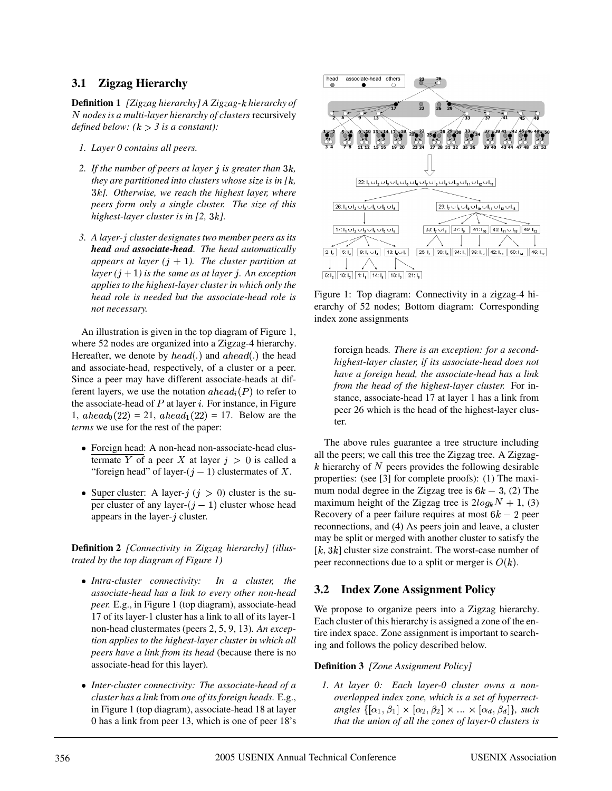## **3.1 Zigzag Hierarchy**

**Definition 1** *[Zigzag hierarchy] A Zigzag- hierarchy of nodes is a multi-layer hierarchy of clusters* recursively *defined below:*  $(k > 3$  *is a constant):* 

- *1. Layer 0 contains all peers.*
- *2.* If the number of peers at layer *i* is greater than 3k, *they are partitioned into clusters whose size is in*  $[k,$ X*]. Otherwise, we reach the highest layer, where peers form only a single cluster. The size of this highest-layer cluster is in [2, 3k].*
- 3. A layer-*i* cluster designates two member peers as its *head and associate-head. The head automatically* appears at layer  $(j + 1)$ . The cluster partition at  $layer (j + 1)$  *is the same as at layer j. An exception applies to the highest-layer cluster in which only the head role is needed but the associate-head role is not necessary.*

An illustration is given in the top diagram of Figure 1, where 52 nodes are organized into a Zigzag-4 hierarchy. Hereafter, we denote by  $head(.)$  and  $ahead(.)$  the head and associate-head, respectively, of a cluster or a peer. Since a peer may have different associate-heads at different lavers, we use the notation  $a \, head_i(P)$  to refer to the associate-head of  $P$  at layer  $i$ . For instance, in Figure 1,  $ahead_0(22) = 21$ ,  $ahead_1(22) = 17$ . Below are the *terms* we use for the rest of the paper:

- Foreign head: A non-head non-associate-head clustermate Y of a peer X at layer  $j > 0$  is called a "foreign head" of layer- $(j-1)$  clustermates of X.
- Super cluster: A layer- $i$  ( $i > 0$ ) cluster is the super cluster of any layer- $(i - 1)$  cluster whose head appears in the layer- $j$  cluster.

**Definition 2** *[Connectivity in Zigzag hierarchy] (illustrated by the top diagram of Figure 1)*

- <sup>g</sup> *Intra-cluster connectivity: In a cluster, the associate-head has a link to every other non-head peer.* E.g., in Figure 1 (top diagram), associate-head 17 of its layer-1 cluster has a link to all of its layer-1 non-head clustermates (peers 2, 5, 9, 13)*. An exception applies to the highest-layer cluster in which all peers have a link from its head* (because there is no associate-head for this layer)*.*
- Inter-cluster connectivity: The associate-head of a *cluster has a link* from *one of its foreign heads.* E.g., in Figure 1 (top diagram), associate-head 18 at layer 0 has a link from peer 13, which is one of peer 18's



Figure 1: Top diagram: Connectivity in a zigzag-4 hierarchy of 52 nodes; Bottom diagram: Corresponding index zone assignments

foreign heads*. There is an exception: for a secondhighest-layer cluster, if its associate-head does not have a foreign head, the associate-head has a link from the head of the highest-layer cluster.* For instance, associate-head 17 at layer 1 has a link from peer 26 which is the head of the highest-layer cluster.

The above rules guarantee a tree structure including all the peers; we call this tree the Zigzag tree. A Zigzag k hierarchy of N peers provides the following desirable properties: (see [3] for complete proofs): (1) The maximum nodal degree in the Zigzag tree is  $6k-3$ , (2) The maximum height of the Zigzag tree is  $2log_k N + 1$ , (3) Recovery of a peer failure requires at most  $6k - 2$  peer reconnections, and (4) As peers join and leave, a cluster may be split or merged with another cluster to satisfy the  $[k, 3k]$  cluster size constraint. The worst-case number of peer reconnections due to a split or merger is  $O(k)$ .

## **3.2 Index Zone Assignment Policy**

We propose to organize peers into a Zigzag hierarchy. Each cluster of this hierarchy is assigned a zone of the entire index space. Zone assignment is important to searching and follows the policy described below.

#### **Definition 3** *[Zone Assignment Policy]*

*1. At layer 0: Each layer-0 cluster owns a nonoverlapped index zone, which is a set of hyperrectangles*  $\{[\alpha_1, \beta_1] \times [\alpha_2, \beta_2] \times ... \times [\alpha_d, \beta_d]\}$ , such *that the union of all the zones of layer-0 clusters is*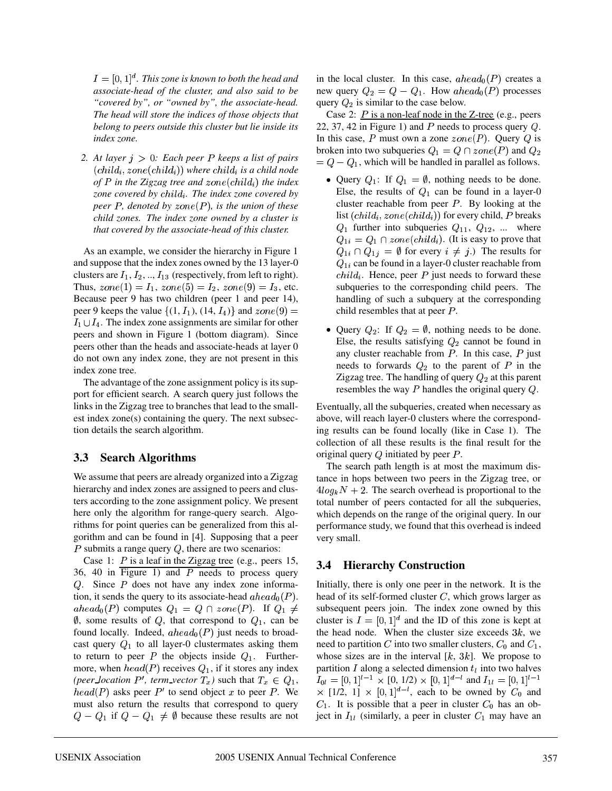$I = [0, 1]^{d}$ . This zone is known to both the head and *associate-head of the cluster, and also said to be "covered by", or "owned by", the associate-head. The head will store the indices of those objects that belong to peers outside this cluster but lie inside its index zone.*

*2. At layer*  $j > 0$ *: Each peer P keeps a list of pairs*  $\left( child_i, zone(child_i) \right)$  where  $child_i$  is a child node of P in the Zigzag tree and  $zone(child_i)$  the index zone covered by child<sub>i</sub>. The index zone covered by  $peer P, denoted by zone(P), is the union of these$ *child zones. The index zone owned by a cluster is that covered by the associate-head of this cluster.*

As an example, we consider the hierarchy in Figure 1 and suppose that the index zones owned by the 13 layer-0 clusters are  $I_1, I_2, ..., I_{13}$  (respectively, from left to right). Thus,  $zone(1) = I_1$ ,  $zone(5) = I_2$ ,  $zone(9) = I_3$ , etc. Because peer 9 has two children (peer 1 and peer 14), peer 9 keeps the value  $\{(1, I_1), (14, I_4)\}\$  and  $zone$  $I_1 \cup I_4$ . The index zone assignments are similar for other peers and shown in Figure 1 (bottom diagram). Since peers other than the heads and associate-heads at layer 0 do not own any index zone, they are not present in this index zone tree.

The advantage of the zone assignment policy is its support for efficient search. A search query just follows the links in the Zigzag tree to branches that lead to the smallest index zone(s) containing the query. The next subsection details the search algorithm.

## **3.3 Search Algorithms**

We assume that peers are already organized into a Zigzag hierarchy and index zones are assigned to peers and clusters according to the zone assignment policy. We present here only the algorithm for range-query search. Algorithms for point queries can be generalized from this algorithm and can be found in [4]. Supposing that a peer  $P$  submits a range query  $Q$ , there are two scenarios:

Case 1:  $P$  is a leaf in the Zigzag tree (e.g., peers 15, 36, 40 in Figure 1) and  $P$  needs to process query Q. Since  $P$  does not have any index zone information, it sends the query to its associate-head  $\alpha h e a d_0(P)$ .  $ahead_0(P)$  computes  $Q_1 = Q \cap zone(P)$ . If  $Q_1 \neq$  subsequently  $\emptyset$ , some results of Q, that correspond to  $Q_1$ , can be found locally. Indeed,  $ahead_0(P)$  just needs to broadcast query  $Q_1$  to all layer-0 clustermates asking them to return to peer P the objects inside  $Q_1$ . Furthermore, when  $head(P)$  receives  $Q_1$ , if it stores any index *(peer location*  $P'$ *, term vector*  $T_x$ *)* such that  $T_x \in Q_1$ *,*  $\tilde{head}(P)$  asks peer  $P'$  to send object x to peer P. We must also return the results that correspond to query  $Q - Q_1$  if  $Q - Q_1 \neq \emptyset$  because these results are not

in the local cluster. In this case,  $ahead_0(P)$  creates a new query  $Q_2 = Q - Q_1$ . How ahead<sub>0</sub>(P) processes query  $Q_2$  is similar to the case below.

Case 2:  $P$  is a non-leaf node in the Z-tree (e.g., peers 22, 37, 42 in Figure 1) and  $P$  needs to process query  $Q$ . In this case, P must own a zone  $zone(P)$ . Ouery Q is broken into two subqueries  $Q_1 = Q \cap zone(P)$  and  $Q_2$  $= Q - Q_1$ , which will be handled in parallel as follows.

- $(9) =$  child resembles that at peer P. • Ouery  $Q_1$ : If  $Q_1 = \emptyset$ , nothing needs to be done. Else, the results of  $Q_1$  can be found in a layer-0 cluster reachable from peer  $P$ . By looking at the list  $\left( child_i, zone(child_i) \right)$  for every child, P breaks  $Q_1$  further into subqueries  $Q_{11}$ ,  $Q_{12}$ , ... where  $Q_{1i} = Q_1 \cap zone(cchild_i)$ . (It is easy to prove that  $Q_{1i} \cap Q_{1j} = \emptyset$  for every  $i \neq j$ .) The results for  $Q_{1i}$  can be found in a layer-0 cluster reachable from  $child_i$ . Hence, peer P just needs to forward these subqueries to the corresponding child peers. The handling of such a subquery at the corresponding
	- Ouery  $Q_2$ : If  $Q_2 = \emptyset$ , nothing needs to be done. Else, the results satisfying  $Q_2$  cannot be found in any cluster reachable from  $P$ . In this case,  $P$  just needs to forwards  $Q_2$  to the parent of P in the Zigzag tree. The handling of query  $Q_2$  at this parent resembles the way  $P$  handles the original query  $Q$ .

Eventually, all the subqueries, created when necessary as above, will reach layer-0 clusters where the corresponding results can be found locally (like in Case 1). The collection of all these results is the final result for the original query  $Q$  initiated by peer  $P$ .

The search path length is at most the maximum distance in hops between two peers in the Zigzag tree, or  $4log_k N + 2$ . The search overhead is proportional to the total number of peers contacted for all the subqueries, which depends on the range of the original query. In our performance study, we found that this overhead is indeed very small.

## **3.4 Hierarchy Construction**

Initially, there is only one peer in the network. It is the head of its self-formed cluster  $C$ , which grows larger as subsequent peers join. The index zone owned by this cluster is  $I = [0, 1]^d$  and the ID of this zone is kept at the head node. When the cluster size exceeds  $3k$ , we need to partition C into two smaller clusters,  $C_0$  and  $C_1$ , whose sizes are in the interval  $[k, 3k]$ . We propose to partition I along a selected dimension  $t_i$  into two halves  $I_{0l} = [0, 1]^{l-1} \times [0, 1/2) \times [0, 1]^{d-l}$  and  $I_{1l} = [0, 1]^{l-1}$ <br> $\times$  [1/2, 1]  $\times$  [0, 1]<sup>d-1</sup>, each to be owned by  $C_0$  and  $C_1$ . It is possible that a peer in cluster  $C_0$  has an object in  $I_{1l}$  (similarly, a peer in cluster  $C_1$  may have an